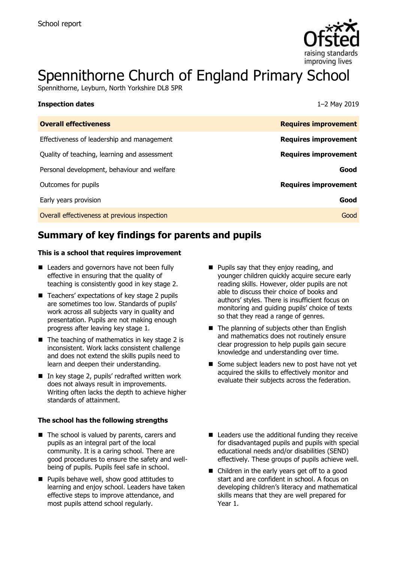

# Spennithorne Church of England Primary School

Spennithorne, Leyburn, North Yorkshire DL8 5PR

| <b>Inspection dates</b>                      | 1-2 May 2019                |
|----------------------------------------------|-----------------------------|
| <b>Overall effectiveness</b>                 | <b>Requires improvement</b> |
| Effectiveness of leadership and management   | <b>Requires improvement</b> |
| Quality of teaching, learning and assessment | <b>Requires improvement</b> |
| Personal development, behaviour and welfare  | Good                        |
| Outcomes for pupils                          | <b>Requires improvement</b> |
| Early years provision                        | Good                        |
| Overall effectiveness at previous inspection | Good                        |

# **Summary of key findings for parents and pupils**

#### **This is a school that requires improvement**

- Leaders and governors have not been fully effective in ensuring that the quality of teaching is consistently good in key stage 2.
- Teachers' expectations of key stage 2 pupils are sometimes too low. Standards of pupils' work across all subjects vary in quality and presentation. Pupils are not making enough progress after leaving key stage 1.
- $\blacksquare$  The teaching of mathematics in key stage 2 is inconsistent. Work lacks consistent challenge and does not extend the skills pupils need to learn and deepen their understanding.
- $\blacksquare$  In key stage 2, pupils' redrafted written work does not always result in improvements. Writing often lacks the depth to achieve higher standards of attainment.

#### **The school has the following strengths**

- The school is valued by parents, carers and pupils as an integral part of the local community. It is a caring school. There are good procedures to ensure the safety and wellbeing of pupils. Pupils feel safe in school.
- **Pupils behave well, show good attitudes to** learning and enjoy school. Leaders have taken effective steps to improve attendance, and most pupils attend school regularly.
- **Pupils say that they enjoy reading, and** younger children quickly acquire secure early reading skills. However, older pupils are not able to discuss their choice of books and authors' styles. There is insufficient focus on monitoring and guiding pupils' choice of texts so that they read a range of genres.
- The planning of subjects other than English and mathematics does not routinely ensure clear progression to help pupils gain secure knowledge and understanding over time.
- Some subject leaders new to post have not yet acquired the skills to effectively monitor and evaluate their subjects across the federation.
- Leaders use the additional funding they receive for disadvantaged pupils and pupils with special educational needs and/or disabilities (SEND) effectively. These groups of pupils achieve well.
- Children in the early years get off to a good start and are confident in school. A focus on developing children's literacy and mathematical skills means that they are well prepared for Year 1.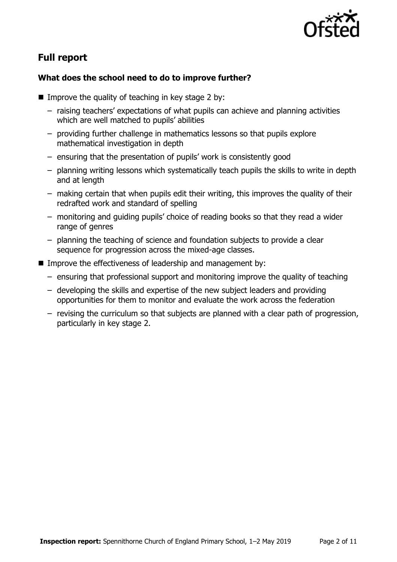

# **Full report**

### **What does the school need to do to improve further?**

- Improve the quality of teaching in key stage 2 by:
	- raising teachers' expectations of what pupils can achieve and planning activities which are well matched to pupils' abilities
	- providing further challenge in mathematics lessons so that pupils explore mathematical investigation in depth
	- ensuring that the presentation of pupils' work is consistently good
	- planning writing lessons which systematically teach pupils the skills to write in depth and at length
	- making certain that when pupils edit their writing, this improves the quality of their redrafted work and standard of spelling
	- monitoring and guiding pupils' choice of reading books so that they read a wider range of genres
	- planning the teaching of science and foundation subjects to provide a clear sequence for progression across the mixed-age classes.
- **IMPROVE the effectiveness of leadership and management by:** 
	- ensuring that professional support and monitoring improve the quality of teaching
	- developing the skills and expertise of the new subject leaders and providing opportunities for them to monitor and evaluate the work across the federation
	- revising the curriculum so that subjects are planned with a clear path of progression, particularly in key stage 2.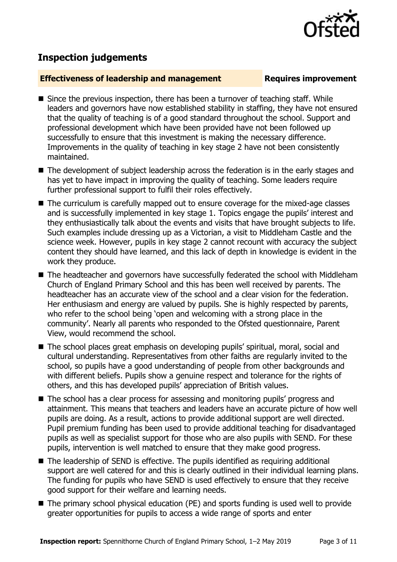# **Inspection judgements**

#### **Effectiveness of leadership and management Requires improvement**

- $\blacksquare$  Since the previous inspection, there has been a turnover of teaching staff. While leaders and governors have now established stability in staffing, they have not ensured that the quality of teaching is of a good standard throughout the school. Support and professional development which have been provided have not been followed up successfully to ensure that this investment is making the necessary difference. Improvements in the quality of teaching in key stage 2 have not been consistently maintained.
- The development of subject leadership across the federation is in the early stages and has yet to have impact in improving the quality of teaching. Some leaders require further professional support to fulfil their roles effectively.
- The curriculum is carefully mapped out to ensure coverage for the mixed-age classes and is successfully implemented in key stage 1. Topics engage the pupils' interest and they enthusiastically talk about the events and visits that have brought subjects to life. Such examples include dressing up as a Victorian, a visit to Middleham Castle and the science week. However, pupils in key stage 2 cannot recount with accuracy the subject content they should have learned, and this lack of depth in knowledge is evident in the work they produce.
- The headteacher and governors have successfully federated the school with Middleham Church of England Primary School and this has been well received by parents. The headteacher has an accurate view of the school and a clear vision for the federation. Her enthusiasm and energy are valued by pupils. She is highly respected by parents, who refer to the school being 'open and welcoming with a strong place in the community'. Nearly all parents who responded to the Ofsted questionnaire, Parent View, would recommend the school.
- The school places great emphasis on developing pupils' spiritual, moral, social and cultural understanding. Representatives from other faiths are regularly invited to the school, so pupils have a good understanding of people from other backgrounds and with different beliefs. Pupils show a genuine respect and tolerance for the rights of others, and this has developed pupils' appreciation of British values.
- The school has a clear process for assessing and monitoring pupils' progress and attainment. This means that teachers and leaders have an accurate picture of how well pupils are doing. As a result, actions to provide additional support are well directed. Pupil premium funding has been used to provide additional teaching for disadvantaged pupils as well as specialist support for those who are also pupils with SEND. For these pupils, intervention is well matched to ensure that they make good progress.
- The leadership of SEND is effective. The pupils identified as requiring additional support are well catered for and this is clearly outlined in their individual learning plans. The funding for pupils who have SEND is used effectively to ensure that they receive good support for their welfare and learning needs.
- The primary school physical education (PE) and sports funding is used well to provide greater opportunities for pupils to access a wide range of sports and enter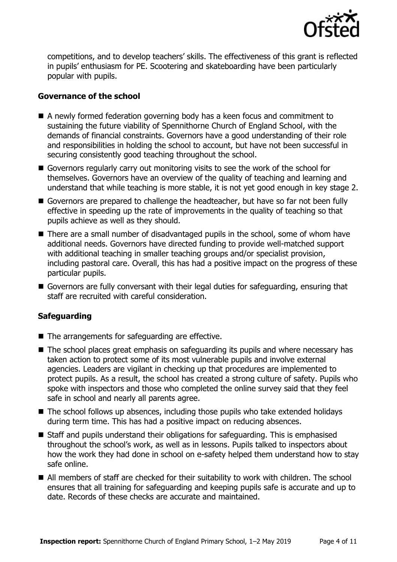

competitions, and to develop teachers' skills. The effectiveness of this grant is reflected in pupils' enthusiasm for PE. Scootering and skateboarding have been particularly popular with pupils.

#### **Governance of the school**

- A newly formed federation governing body has a keen focus and commitment to sustaining the future viability of Spennithorne Church of England School, with the demands of financial constraints. Governors have a good understanding of their role and responsibilities in holding the school to account, but have not been successful in securing consistently good teaching throughout the school.
- Governors regularly carry out monitoring visits to see the work of the school for themselves. Governors have an overview of the quality of teaching and learning and understand that while teaching is more stable, it is not yet good enough in key stage 2.
- Governors are prepared to challenge the headteacher, but have so far not been fully effective in speeding up the rate of improvements in the quality of teaching so that pupils achieve as well as they should.
- There are a small number of disadvantaged pupils in the school, some of whom have additional needs. Governors have directed funding to provide well-matched support with additional teaching in smaller teaching groups and/or specialist provision, including pastoral care. Overall, this has had a positive impact on the progress of these particular pupils.
- Governors are fully conversant with their legal duties for safeguarding, ensuring that staff are recruited with careful consideration.

### **Safeguarding**

- The arrangements for safeguarding are effective.
- The school places great emphasis on safeguarding its pupils and where necessary has taken action to protect some of its most vulnerable pupils and involve external agencies. Leaders are vigilant in checking up that procedures are implemented to protect pupils. As a result, the school has created a strong culture of safety. Pupils who spoke with inspectors and those who completed the online survey said that they feel safe in school and nearly all parents agree.
- $\blacksquare$  The school follows up absences, including those pupils who take extended holidays during term time. This has had a positive impact on reducing absences.
- Staff and pupils understand their obligations for safeguarding. This is emphasised throughout the school's work, as well as in lessons. Pupils talked to inspectors about how the work they had done in school on e-safety helped them understand how to stay safe online.
- All members of staff are checked for their suitability to work with children. The school ensures that all training for safeguarding and keeping pupils safe is accurate and up to date. Records of these checks are accurate and maintained.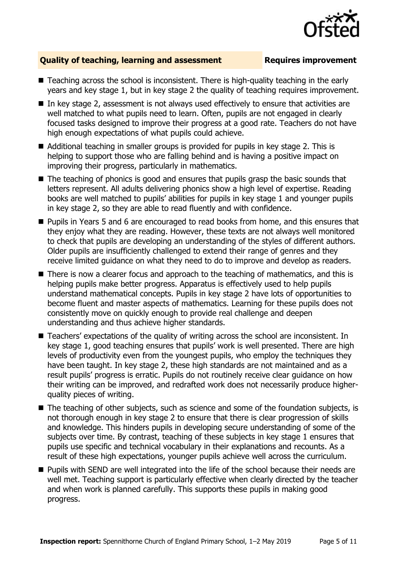

### **Quality of teaching, learning and assessment Fig. 2.1 Requires improvement**

- Teaching across the school is inconsistent. There is high-quality teaching in the early years and key stage 1, but in key stage 2 the quality of teaching requires improvement.
- $\blacksquare$  In key stage 2, assessment is not always used effectively to ensure that activities are well matched to what pupils need to learn. Often, pupils are not engaged in clearly focused tasks designed to improve their progress at a good rate. Teachers do not have high enough expectations of what pupils could achieve.
- Additional teaching in smaller groups is provided for pupils in key stage 2. This is helping to support those who are falling behind and is having a positive impact on improving their progress, particularly in mathematics.
- The teaching of phonics is good and ensures that pupils grasp the basic sounds that letters represent. All adults delivering phonics show a high level of expertise. Reading books are well matched to pupils' abilities for pupils in key stage 1 and younger pupils in key stage 2, so they are able to read fluently and with confidence.
- Pupils in Years 5 and 6 are encouraged to read books from home, and this ensures that they enjoy what they are reading. However, these texts are not always well monitored to check that pupils are developing an understanding of the styles of different authors. Older pupils are insufficiently challenged to extend their range of genres and they receive limited guidance on what they need to do to improve and develop as readers.
- There is now a clearer focus and approach to the teaching of mathematics, and this is helping pupils make better progress. Apparatus is effectively used to help pupils understand mathematical concepts. Pupils in key stage 2 have lots of opportunities to become fluent and master aspects of mathematics. Learning for these pupils does not consistently move on quickly enough to provide real challenge and deepen understanding and thus achieve higher standards.
- Teachers' expectations of the quality of writing across the school are inconsistent. In key stage 1, good teaching ensures that pupils' work is well presented. There are high levels of productivity even from the youngest pupils, who employ the techniques they have been taught. In key stage 2, these high standards are not maintained and as a result pupils' progress is erratic. Pupils do not routinely receive clear guidance on how their writing can be improved, and redrafted work does not necessarily produce higherquality pieces of writing.
- The teaching of other subjects, such as science and some of the foundation subjects, is not thorough enough in key stage 2 to ensure that there is clear progression of skills and knowledge. This hinders pupils in developing secure understanding of some of the subjects over time. By contrast, teaching of these subjects in key stage 1 ensures that pupils use specific and technical vocabulary in their explanations and recounts. As a result of these high expectations, younger pupils achieve well across the curriculum.
- **Pupils with SEND are well integrated into the life of the school because their needs are** well met. Teaching support is particularly effective when clearly directed by the teacher and when work is planned carefully. This supports these pupils in making good progress.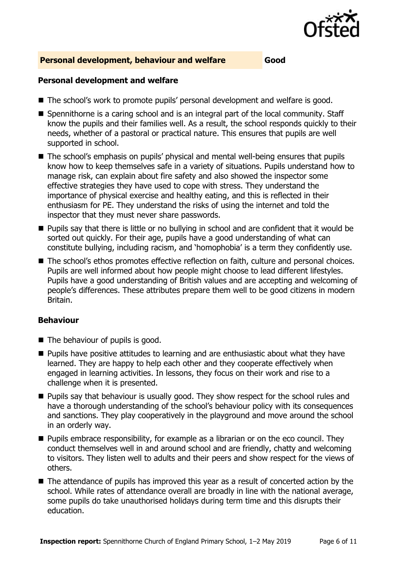

#### **Personal development, behaviour and welfare Good**

#### **Personal development and welfare**

- The school's work to promote pupils' personal development and welfare is good.
- Spennithorne is a caring school and is an integral part of the local community. Staff know the pupils and their families well. As a result, the school responds quickly to their needs, whether of a pastoral or practical nature. This ensures that pupils are well supported in school.
- The school's emphasis on pupils' physical and mental well-being ensures that pupils know how to keep themselves safe in a variety of situations. Pupils understand how to manage risk, can explain about fire safety and also showed the inspector some effective strategies they have used to cope with stress. They understand the importance of physical exercise and healthy eating, and this is reflected in their enthusiasm for PE. They understand the risks of using the internet and told the inspector that they must never share passwords.
- **Pupils say that there is little or no bullying in school and are confident that it would be** sorted out quickly. For their age, pupils have a good understanding of what can constitute bullying, including racism, and 'homophobia' is a term they confidently use.
- The school's ethos promotes effective reflection on faith, culture and personal choices. Pupils are well informed about how people might choose to lead different lifestyles. Pupils have a good understanding of British values and are accepting and welcoming of people's differences. These attributes prepare them well to be good citizens in modern Britain.

### **Behaviour**

- The behaviour of pupils is good.
- **Pupils have positive attitudes to learning and are enthusiastic about what they have** learned. They are happy to help each other and they cooperate effectively when engaged in learning activities. In lessons, they focus on their work and rise to a challenge when it is presented.
- **Pupils say that behaviour is usually good. They show respect for the school rules and** have a thorough understanding of the school's behaviour policy with its consequences and sanctions. They play cooperatively in the playground and move around the school in an orderly way.
- **Pupils embrace responsibility, for example as a librarian or on the eco council. They** conduct themselves well in and around school and are friendly, chatty and welcoming to visitors. They listen well to adults and their peers and show respect for the views of others.
- The attendance of pupils has improved this year as a result of concerted action by the school. While rates of attendance overall are broadly in line with the national average, some pupils do take unauthorised holidays during term time and this disrupts their education.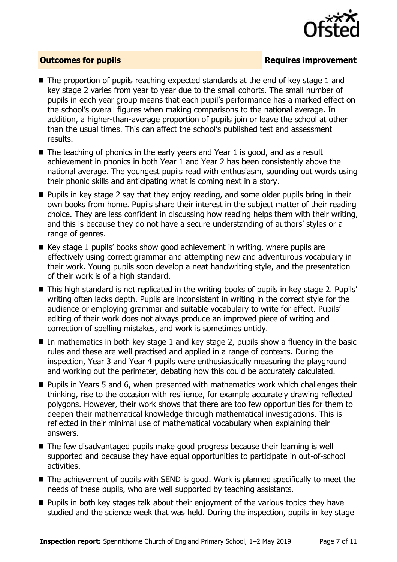

### **Outcomes for pupils Requires improvement**

- The proportion of pupils reaching expected standards at the end of key stage 1 and key stage 2 varies from year to year due to the small cohorts. The small number of pupils in each year group means that each pupil's performance has a marked effect on the school's overall figures when making comparisons to the national average. In addition, a higher-than-average proportion of pupils join or leave the school at other than the usual times. This can affect the school's published test and assessment results.
- $\blacksquare$  The teaching of phonics in the early years and Year 1 is good, and as a result achievement in phonics in both Year 1 and Year 2 has been consistently above the national average. The youngest pupils read with enthusiasm, sounding out words using their phonic skills and anticipating what is coming next in a story.
- **Pupils in key stage 2 say that they enjoy reading, and some older pupils bring in their** own books from home. Pupils share their interest in the subject matter of their reading choice. They are less confident in discussing how reading helps them with their writing, and this is because they do not have a secure understanding of authors' styles or a range of genres.
- $\blacksquare$  Key stage 1 pupils' books show good achievement in writing, where pupils are effectively using correct grammar and attempting new and adventurous vocabulary in their work. Young pupils soon develop a neat handwriting style, and the presentation of their work is of a high standard.
- This high standard is not replicated in the writing books of pupils in key stage 2. Pupils' writing often lacks depth. Pupils are inconsistent in writing in the correct style for the audience or emploving grammar and suitable vocabulary to write for effect. Pupils' editing of their work does not always produce an improved piece of writing and correction of spelling mistakes, and work is sometimes untidy.
- In mathematics in both key stage 1 and key stage 2, pupils show a fluency in the basic rules and these are well practised and applied in a range of contexts. During the inspection, Year 3 and Year 4 pupils were enthusiastically measuring the playground and working out the perimeter, debating how this could be accurately calculated.
- Pupils in Years 5 and 6, when presented with mathematics work which challenges their thinking, rise to the occasion with resilience, for example accurately drawing reflected polygons. However, their work shows that there are too few opportunities for them to deepen their mathematical knowledge through mathematical investigations. This is reflected in their minimal use of mathematical vocabulary when explaining their answers.
- The few disadvantaged pupils make good progress because their learning is well supported and because they have equal opportunities to participate in out-of-school activities.
- The achievement of pupils with SEND is good. Work is planned specifically to meet the needs of these pupils, who are well supported by teaching assistants.
- **Pupils in both key stages talk about their enjoyment of the various topics they have** studied and the science week that was held. During the inspection, pupils in key stage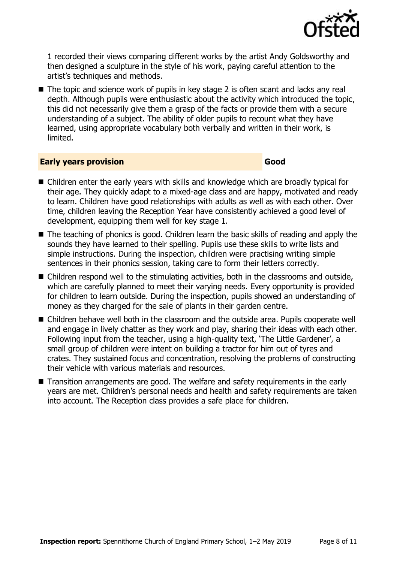

1 recorded their views comparing different works by the artist Andy Goldsworthy and then designed a sculpture in the style of his work, paying careful attention to the artist's techniques and methods.

The topic and science work of pupils in key stage 2 is often scant and lacks any real depth. Although pupils were enthusiastic about the activity which introduced the topic, this did not necessarily give them a grasp of the facts or provide them with a secure understanding of a subject. The ability of older pupils to recount what they have learned, using appropriate vocabulary both verbally and written in their work, is limited.

#### **Early years provision Good Good**

- Children enter the early years with skills and knowledge which are broadly typical for their age. They quickly adapt to a mixed-age class and are happy, motivated and ready to learn. Children have good relationships with adults as well as with each other. Over time, children leaving the Reception Year have consistently achieved a good level of development, equipping them well for key stage 1.
- The teaching of phonics is good. Children learn the basic skills of reading and apply the sounds they have learned to their spelling. Pupils use these skills to write lists and simple instructions. During the inspection, children were practising writing simple sentences in their phonics session, taking care to form their letters correctly.
- Children respond well to the stimulating activities, both in the classrooms and outside, which are carefully planned to meet their varying needs. Every opportunity is provided for children to learn outside. During the inspection, pupils showed an understanding of money as they charged for the sale of plants in their garden centre.
- Children behave well both in the classroom and the outside area. Pupils cooperate well and engage in lively chatter as they work and play, sharing their ideas with each other. Following input from the teacher, using a high-quality text, 'The Little Gardener', a small group of children were intent on building a tractor for him out of tyres and crates. They sustained focus and concentration, resolving the problems of constructing their vehicle with various materials and resources.
- Transition arrangements are good. The welfare and safety requirements in the early years are met. Children's personal needs and health and safety requirements are taken into account. The Reception class provides a safe place for children.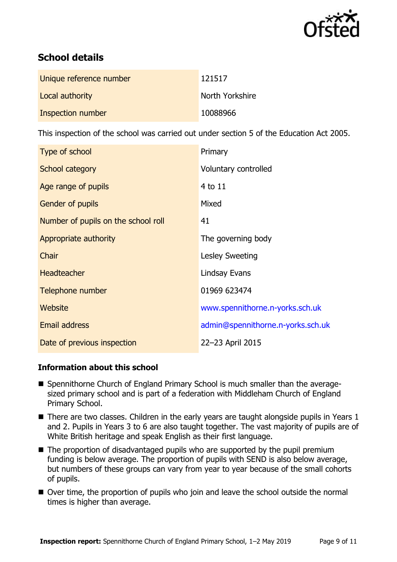

# **School details**

| Unique reference number | 121517          |
|-------------------------|-----------------|
| Local authority         | North Yorkshire |
| Inspection number       | 10088966        |

This inspection of the school was carried out under section 5 of the Education Act 2005.

| Type of school                      | Primary                           |
|-------------------------------------|-----------------------------------|
| School category                     | Voluntary controlled              |
| Age range of pupils                 | 4 to 11                           |
| <b>Gender of pupils</b>             | Mixed                             |
| Number of pupils on the school roll | 41                                |
| Appropriate authority               | The governing body                |
| Chair                               | Lesley Sweeting                   |
| <b>Headteacher</b>                  | Lindsay Evans                     |
| Telephone number                    | 01969 623474                      |
| Website                             | www.spennithorne.n-yorks.sch.uk   |
| <b>Email address</b>                | admin@spennithorne.n-yorks.sch.uk |
| Date of previous inspection         | 22-23 April 2015                  |

### **Information about this school**

- Spennithorne Church of England Primary School is much smaller than the averagesized primary school and is part of a federation with Middleham Church of England Primary School.
- There are two classes. Children in the early years are taught alongside pupils in Years 1 and 2. Pupils in Years 3 to 6 are also taught together. The vast majority of pupils are of White British heritage and speak English as their first language.
- The proportion of disadvantaged pupils who are supported by the pupil premium funding is below average. The proportion of pupils with SEND is also below average, but numbers of these groups can vary from year to year because of the small cohorts of pupils.
- Over time, the proportion of pupils who join and leave the school outside the normal times is higher than average.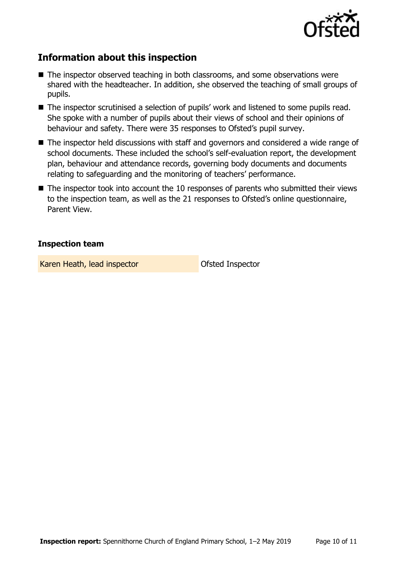

# **Information about this inspection**

- The inspector observed teaching in both classrooms, and some observations were shared with the headteacher. In addition, she observed the teaching of small groups of pupils.
- The inspector scrutinised a selection of pupils' work and listened to some pupils read. She spoke with a number of pupils about their views of school and their opinions of behaviour and safety. There were 35 responses to Ofsted's pupil survey.
- The inspector held discussions with staff and governors and considered a wide range of school documents. These included the school's self-evaluation report, the development plan, behaviour and attendance records, governing body documents and documents relating to safeguarding and the monitoring of teachers' performance.
- The inspector took into account the 10 responses of parents who submitted their views to the inspection team, as well as the 21 responses to Ofsted's online questionnaire, Parent View.

### **Inspection team**

Karen Heath, lead inspector **Calculate Control** Ofsted Inspector